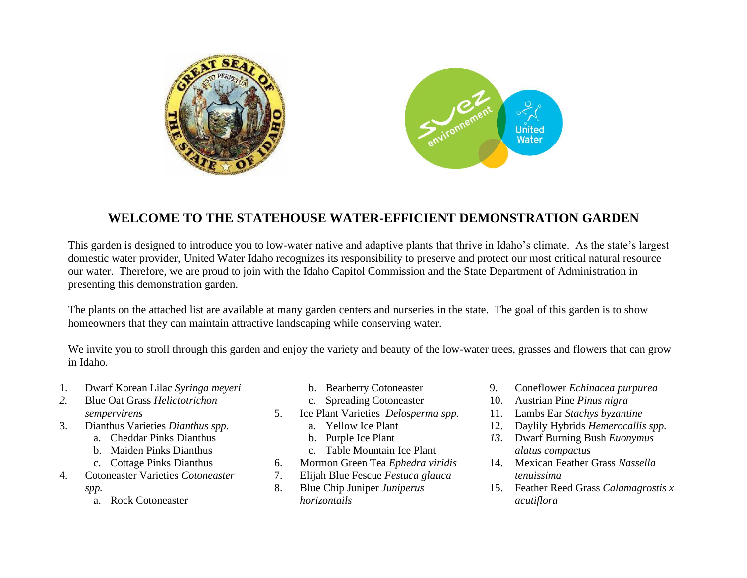

## **WELCOME TO THE STATEHOUSE WATER-EFFICIENT DEMONSTRATION GARDEN**

This garden is designed to introduce you to low-water native and adaptive plants that thrive in Idaho's climate. As the state's largest domestic water provider, United Water Idaho recognizes its responsibility to preserve and protect our most critical natural resource – our water. Therefore, we are proud to join with the Idaho Capitol Commission and the State Department of Administration in presenting this demonstration garden.

The plants on the attached list are available at many garden centers and nurseries in the state. The goal of this garden is to show homeowners that they can maintain attractive landscaping while conserving water.

We invite you to stroll through this garden and enjoy the variety and beauty of the low-water trees, grasses and flowers that can grow in Idaho.

- 1. Dwarf Korean Lilac *Syringa meyeri*
- *2.* Blue Oat Grass *Helictotrichon sempervirens*
- 3. Dianthus Varieties *Dianthus spp.*
	- a. Cheddar Pinks Dianthus
	- b. Maiden Pinks Dianthus
	- c. Cottage Pinks Dianthus
- 4. Cotoneaster Varieties *Cotoneaster spp.*
	- a. Rock Cotoneaster
- b. Bearberry Cotoneaster
- c. Spreading Cotoneaster
- 5. Ice Plant Varieties *Delosperma spp.*
	- a. Yellow Ice Plant
	- b. Purple Ice Plant
	- c. Table Mountain Ice Plant
- 6. Mormon Green Tea *Ephedra viridis*
- 7. Elijah Blue Fescue *Festuca glauca*
- 8. Blue Chip Juniper *Juniperus horizontails*
- 9. Coneflower *Echinacea purpurea*
- 10. Austrian Pine *Pinus nigra*
- 11. Lambs Ear *Stachys byzantine*
- 12. Daylily Hybrids *Hemerocallis spp.*
- *13.* Dwarf Burning Bush *Euonymus alatus compactus*
- 14. Mexican Feather Grass *Nassella tenuissima*
- 15. Feather Reed Grass *Calamagrostis x acutiflora*